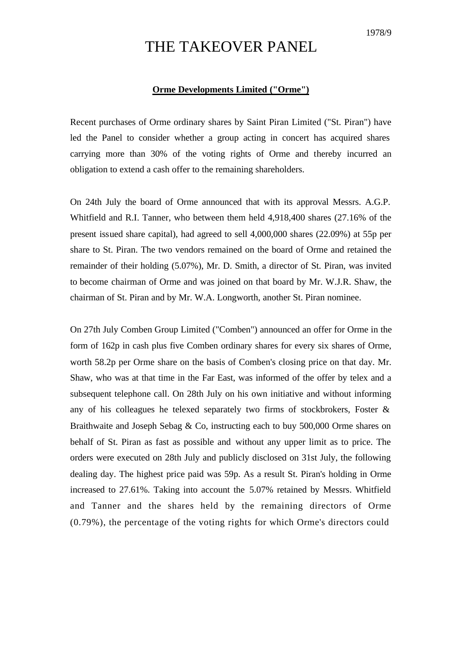## THE TAKEOVER PANEL

## **Orme Developments Limited ("Orme")**

Recent purchases of Orme ordinary shares by Saint Piran Limited ("St. Piran") have led the Panel to consider whether a group acting in concert has acquired shares carrying more than 30% of the voting rights of Orme and thereby incurred an obligation to extend a cash offer to the remaining shareholders.

On 24th July the board of Orme announced that with its approval Messrs. A.G.P. Whitfield and R.I. Tanner, who between them held 4,918,400 shares (27.16% of the present issued share capital), had agreed to sell 4,000,000 shares (22.09%) at 55p per share to St. Piran. The two vendors remained on the board of Orme and retained the remainder of their holding (5.07%), Mr. D. Smith, a director of St. Piran, was invited to become chairman of Orme and was joined on that board by Mr. W.J.R. Shaw, the chairman of St. Piran and by Mr. W.A. Longworth, another St. Piran nominee.

On 27th July Comben Group Limited ("Comben") announced an offer for Orme in the form of 162p in cash plus five Comben ordinary shares for every six shares of Orme, worth 58.2p per Orme share on the basis of Comben's closing price on that day. Mr. Shaw, who was at that time in the Far East, was informed of the offer by telex and a subsequent telephone call. On 28th July on his own initiative and without informing any of his colleagues he telexed separately two firms of stockbrokers, Foster & Braithwaite and Joseph Sebag & Co, instructing each to buy 500,000 Orme shares on behalf of St. Piran as fast as possible and without any upper limit as to price. The orders were executed on 28th July and publicly disclosed on 31st July, the following dealing day. The highest price paid was 59p. As a result St. Piran's holding in Orme increased to 27.61%. Taking into account the 5.07% retained by Messrs. Whitfield and Tanner and the shares held by the remaining directors of Orme (0.79%), the percentage of the voting rights for which Orme's directors could